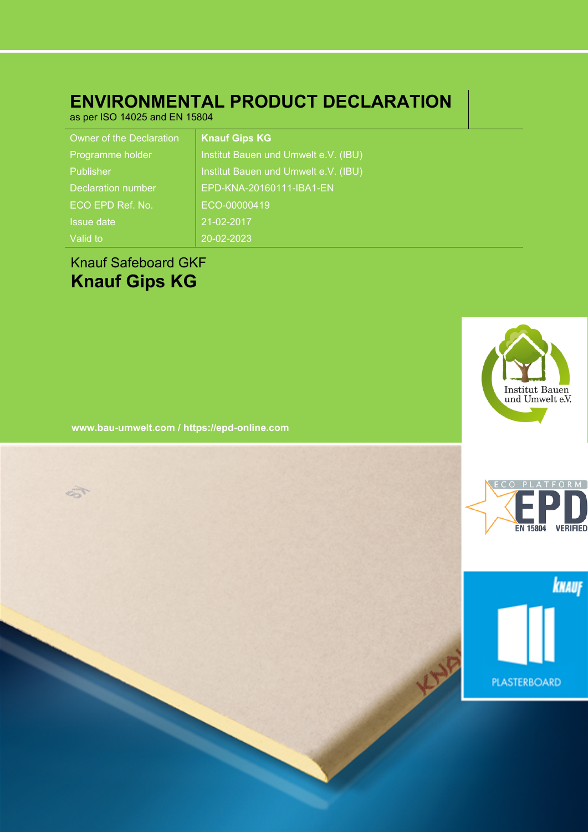# **ENVIRONMENTAL PRODUCT DECLARATION**

as per ISO 14025 and EN 15804

| Owner of the Declaration | <b>Knauf Gips KG</b>                 |
|--------------------------|--------------------------------------|
| Programme holder         | Institut Bauen und Umwelt e.V. (IBU) |
| Publisher                | Institut Bauen und Umwelt e.V. (IBU) |
| Declaration number       | EPD-KNA-20160111-IBA1-EN             |
| ECO EPD Ref. No.         | ECO-00000419                         |
| <b>Issue date</b>        | 21-02-2017                           |
| Valid to                 | 20-02-2023                           |

# Knauf Safeboard GKF **Knauf Gips KG**

5

Institut Bauen<br>und Umwelt e.V.

**www.bau-umwelt.com / https://epd-online.com**



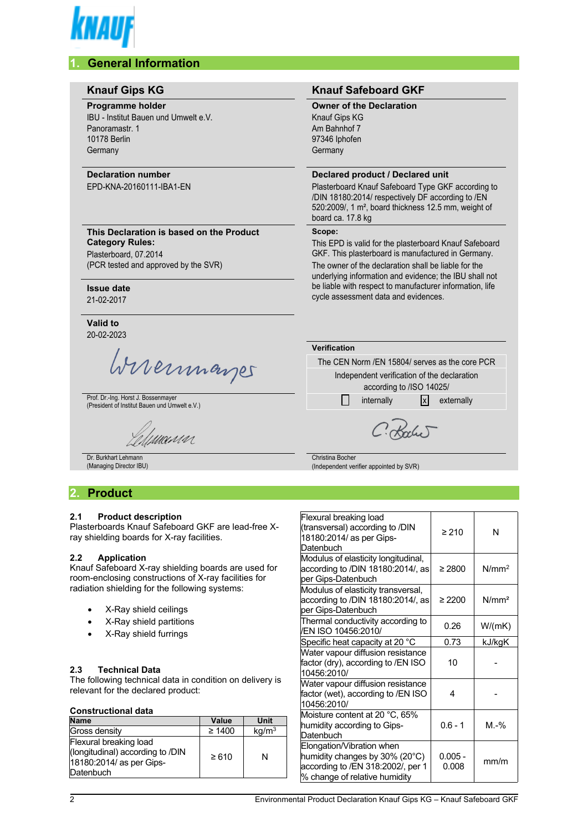

# **1. General Information**

| <b>Knauf Gips KG</b>                                                                                                                | <b>Knauf Safeboard GKF</b>                                                                                                                                                                                                                                                                           |  |
|-------------------------------------------------------------------------------------------------------------------------------------|------------------------------------------------------------------------------------------------------------------------------------------------------------------------------------------------------------------------------------------------------------------------------------------------------|--|
| <b>Programme holder</b><br>IBU - Institut Bauen und Umwelt e.V.<br>Panoramastr. 1<br><b>10178 Berlin</b><br>Germany                 | <b>Owner of the Declaration</b><br><b>Knauf Gips KG</b><br>Am Bahnhof 7<br>97346 Iphofen<br>Germany                                                                                                                                                                                                  |  |
| <b>Declaration number</b><br>EPD-KNA-20160111-IBA1-EN                                                                               | Declared product / Declared unit<br>Plasterboard Knauf Safeboard Type GKF according to<br>/DIN 18180:2014/ respectively DF according to /EN<br>520:2009/, 1 m <sup>2</sup> , board thickness 12.5 mm, weight of<br>board ca. 17.8 kg                                                                 |  |
| This Declaration is based on the Product<br><b>Category Rules:</b><br>Plasterboard, 07.2014<br>(PCR tested and approved by the SVR) | Scope:<br>This EPD is valid for the plasterboard Knauf Safeboard<br>GKF. This plasterboard is manufactured in Germany.<br>The owner of the declaration shall be liable for the<br>underlying information and evidence; the IBU shall not<br>be liable with respect to manufacturer information, life |  |
| <b>Issue date</b><br>21-02-2017<br>Valid to                                                                                         | cycle assessment data and evidences.                                                                                                                                                                                                                                                                 |  |
| 20-02-2023                                                                                                                          | Verification                                                                                                                                                                                                                                                                                         |  |
| Wireinmarger                                                                                                                        | The CFN Norm /FN 15804/ serves as the core PCR<br>Independent verification of the declaration<br>according to /ISO 14025/                                                                                                                                                                            |  |
| Prof. Dr.-Ing. Horst J. Bossenmayer<br>(President of Institut Bauen und Umwelt e.V.)                                                | x <br>internally<br>externally                                                                                                                                                                                                                                                                       |  |
| lumnar                                                                                                                              |                                                                                                                                                                                                                                                                                                      |  |
| Dr. Burkhart Lehmann                                                                                                                | Christina Bocher<br>(Independent verifier appointed by SVR)                                                                                                                                                                                                                                          |  |

# **2. Product**

## **2.1 Product description**

Plasterboards Knauf Safeboard GKF are lead-free Xray shielding boards for X-ray facilities.

#### **2.2 Application**

Knauf Safeboard X-ray shielding boards are used for room-enclosing constructions of X-ray facilities for radiation shielding for the following systems:

- X-Ray shield ceilings
- X-Ray shield partitions
- X-Ray shield furrings

#### **2.3 Technical Data**

The following technical data in condition on delivery is relevant for the declared product:

#### **Constructional data**

| Value       | Unit              |
|-------------|-------------------|
|             |                   |
| $\geq 1400$ | kg/m <sup>3</sup> |
| $\ge 610$   | N                 |
|             |                   |

| Flexural breaking load<br>(transversal) according to /DIN<br>18180:2014/ as per Gips-<br>Datenbuch                                | $\geq 210$         | N                 |
|-----------------------------------------------------------------------------------------------------------------------------------|--------------------|-------------------|
| Modulus of elasticity longitudinal,<br>according to /DIN 18180:2014/, as<br>per Gips-Datenbuch                                    | $\geq 2800$        | N/mm <sup>2</sup> |
| Modulus of elasticity transversal,<br>according to /DIN 18180:2014/, as<br>per Gips-Datenbuch                                     | $\geq 2200$        | N/mm <sup>2</sup> |
| Thermal conductivity according to<br>/EN ISO 10456:2010/                                                                          | 0.26               | W/(mK)            |
| Specific heat capacity at 20 °C                                                                                                   | 0.73               | kJ/kgK            |
| Water vapour diffusion resistance<br>factor (dry), according to /EN ISO<br>10456:2010/                                            | 10                 |                   |
| Water vapour diffusion resistance<br>factor (wet), according to /EN ISO<br>10456:2010/                                            | 4                  |                   |
| Moisture content at 20 °C, 65%<br>humidity according to Gips-<br>Datenbuch                                                        | $0.6 - 1$          | $M.-\%$           |
| Elongation/Vibration when<br>humidity changes by 30% (20°C)<br>according to /EN 318:2002/, per 1<br>% change of relative humidity | $0.005 -$<br>0.008 | mm/m              |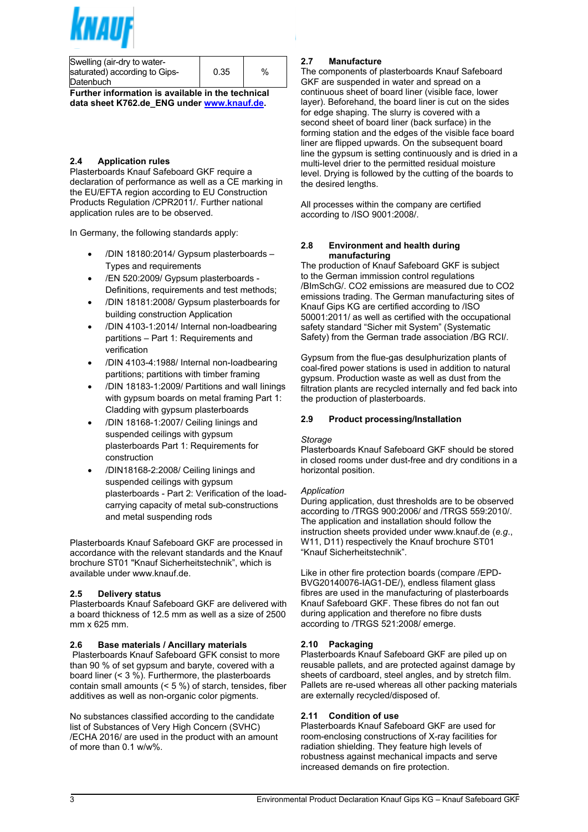$-0$  ! (<br>8" \$ ! + - !!+  $\frac{\%}{\%}$ , 7<br>  $*$  \$\$ % 4,  $3<sup>1</sup>$  $\overline{F}$  $+$  \$"  $4 - 5$  $\frac{1}{n}$ \$  $\frac{1}{2}$ <br> $\frac{1}{2}$ <br> $\frac{1}{2}$ <br> $\frac{1}{2}$ <br> $\frac{1}{2}$ <br> $\frac{1}{2}$ <br> $\frac{1}{2}$ <br><br> $\frac{1}{2}$ <br><br><br><br><br><br><br><br><br><br><br><br><br><br><br><br><br><br><br><br><br><br><br><br>  $\overline{\$}$  $\sqrt{ }$  $\begin{array}{c|c}\n\bullet \\
\bullet \\
\hline\n\end{array}$ \$  $\begin{array}{c} \n \begin{array}{c} 1 \\ 1 \end{array} & \begin{array}{c} 1 \\ 1 \end{array} & 6 \end{array}$ % $\overline{\phantom{a}}$  $+$  $\mathbf{I}$  and  $\frac{1}{3}$  $\frac{1}{\sqrt{6}}$  $\begin{array}{c} \circ \\ \circ \\ \circ \end{array}$  $\frac{9}{6}$ 6 6  $\frac{6}{4}$  7 %  $\frac{1}{2}$  5 % !"<br>" % "  $4 - 5$  G  $\overline{\phantom{a}}$  $\frac{1}{2}$  $%$  $\mathsf{\$}$  $\begin{array}{ccc}\n7 & & \text{\$} & \text{\$} \\
9 & & & \n\end{array}$  $9'5$  $\begin{array}{ccccccccc}\n\text{\$} & & & & & \text{\$} & & \text{\$} & & \text{\$} & \text{\$} & \text{\$} & \text{\$} & \text{\$} & \text{\$} & \text{\$} & \text{\$} & \text{\$} & \text{\$} & \text{\$} & \text{\$} & \text{\$} & \text{\$} & \text{\$} & \text{\$} & \text{\$} & \text{\$} & \text{\$} & \text{\$} & \text{\$} & \text{\$} & \text{\$} & \text{\$} & \text{\$} & \text{\$} & \text{\$} & \text{\$} & \text{\$} & \text{\$} & \text{\$} &$  $6^{\circ}$  $$5$  $\%$  $7: " 1$  $\overline{4}$  $7:$ - 7 / (" & \$ &\$ ( +<br>8" \$ ! - ! ! 4-5 + L \$<br>" 4 \$ ! - \$ %  $\begin{array}{c}\n\begin{array}{ccc}\n\end{array} & & & \\
\begin{array}{ccc}\n8 & & & \\
& \end{array} & & \\
\begin{array}{ccc}\n\end{array} & & & \\
\begin{array}{ccc}\n\end{array} & & & \\
\begin{array}{ccc}\n\end{array} & & & \\
\begin{array}{ccc}\n\end{array} & & & \\
\begin{array}{ccc}\n\end{array} & & & \\
\begin{array}{ccc}\n\end{array} & & & \\
\begin{array}{ccc}\n\end{array} & & & \\
\begin{array}{ccc}\n\end{array} & & & \\
\begin{array}{ccc}\n\end{array} & & & \\
\begin{array}{ccc}\n\end{array} & & & \\
\begin{$  $\frac{1}{2}$  497  $9#$ 87  $\overline{G}$  $\frac{1}{\sqrt{2}}$  $\begin{array}{ccc} \cdot & 19 & 47 \end{array}$ 9 # ! ; G<br>9 # : 497  $\frac{0}{6}$  $\blacksquare$  $\mathbf{g}$  $\begin{array}{ccc} \circ & \circ & \circ & \circ \\ \circ & \circ & \circ & \circ \\ 3, & \circ & \circ \\ 9 & & 0 & 0 \\ 1 & \circ & & \end{array}$  $\ddot{\phantom{0}}$  $\mathbf{\hat{s}}$  $9#$  $\%$  $+$ .\$  $$$   $9840/9"$ 47 ! " ! , % " J<br>  $\frac{1}{3}$  ,  $\frac{1}{6}$  ,  $\frac{1}{3}$  \$<br>  $\frac{1}{1}$  % \$ 7\$<br>
" \$ ! + 6 ! \$  $\mathbf{I}$  $9#$  3, : 1 9  $\frac{1}{2}$  $\mathbf{L}$  $9#$  =<br>9# 3, : 19  $\mathbf{I}$  $$7$$   $\frac{1}{2}$  +  $\frac{1}{2}$  $\sim$   $\mu$  $-8$  ("& ! ("!)  $+$ #  $\begin{array}{ccccc} + & & + & \end{array}$  $4 - 5"$ <br>, !  $\mathbf{H} + \mathbf{H}$  $\begin{array}{cc} & \text{\$} \\ \text{\$} \\ \text{\$} \end{array}$  $7<sup>8</sup>$  $\begin{array}{cccc} 0, & \frac{1}{2} & \frac{1}{2} & \frac{1}{2} & \frac{1}{2} & \frac{1}{2} & \frac{1}{2} & \frac{1}{2} & \frac{1}{2} & \frac{1}{2} & \frac{1}{2} & \frac{1}{2} & \frac{1}{2} & \frac{1}{2} & \frac{1}{2} & \frac{1}{2} & \frac{1}{2} & \frac{1}{2} & \frac{1}{2} & \frac{1}{2} & \frac{1}{2} & \frac{1}{2} & \frac{1}{2} & \frac{1}{2} & \frac{1}{2} & \frac{1}{2} & \frac{1}{2} & \$  $\%$ ்ப  $9#$  $\begin{array}{ccc}\n & \vdots & \vdots & \vdots \\
 & \# & \mathfrak{S} \\
 & \mathfrak{S} & \mathfrak{S} \\
 & \mathfrak{S} & \mathfrak{S} \\
 & & \ddots & \vdots \\
 & & & \vdots\n\end{array}$  $, \t : ( \t : 1 \$  $\begin{array}{cccc} & + & & , \\ 7 & \% & \$ & \end{array}$  $$ ;$   $9804$  1 :  $+ 6$ <br>9804 1: 9'  $$7!+$3"$  $\mathbf{\hat{s}}$  $.9$  $%$  $\frac{1}{2}$  $\sqrt[6]{\frac{1}{2}}$  $\frac{1}{2}$  $\frac{1!}{2}$  + 4 - 5  $\overline{8}$  $\begin{array}{ccc}\n\cdot & & 6 \\
\cdot & & \ast \\
\cdot & & \cdot\n\end{array}$  $$S$  $\frac{1}{2}$   $\frac{1}{2}$   $\frac{1}{2}$   $\frac{1}{2}$  $8H \mathfrak{S}$  "  $)$  \$  $6\overline{6}$  $-5$  $6$ <br>IJ 4 - 5  $\begin{array}{c} + \\ 2 \end{array}$ - 1 6 ( # ! (, ( - '9 !3 + +<br>
+ - ! + 45\$<br>
+ 1 F ! %7 \$ 67 ; " + ; % \$<br>
5 5 5 % \$ 5 % ' + 2 5 % ; "<br>
6 , % \$ \$ % ' ? 7 \$ 7 \$ 9 !'  $%$  $+7$  $+7$  \$"!  $\mathfrak s$  $%$  $+$  \$ \$ !<br>  $+$  \$ ( 7<br>  $\cdot$  9 F'  $\sim$   $\sim$  11  $\pm$  $4 - 5$  !  $9/$  $\begin{bmatrix} \mathbb{S}^n \\ \vdots \end{bmatrix}$  $\%$  $\frac{+}{\$}$ 

 $\overline{4}$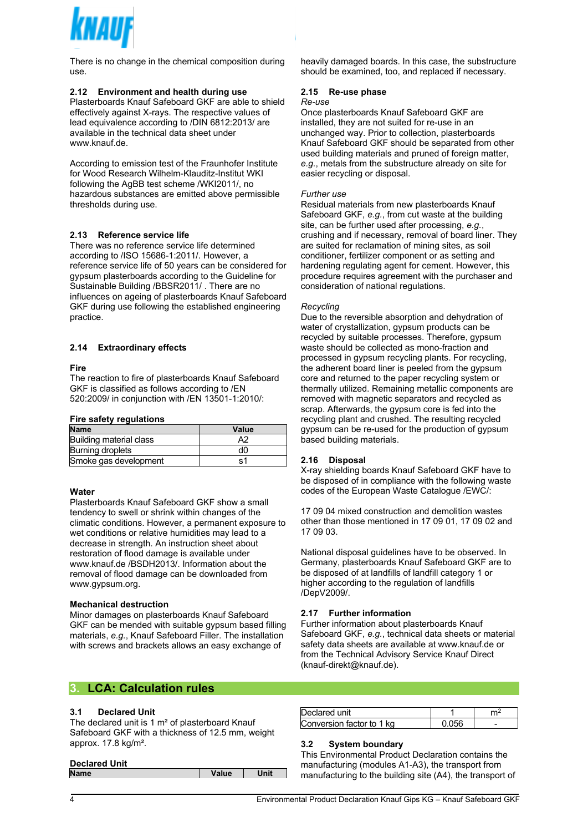

There is no change in the chemical composition during use.

#### **2.12 Environment and health during use**

Plasterboards Knauf Safeboard GKF are able to shield effectively against X-rays. The respective values of lead equivalence according to /DIN 6812:2013/ are available in the technical data sheet under www.knauf.de.

According to emission test of the Fraunhofer Institute for Wood Research Wilhelm-Klauditz-Institut WKI following the AgBB test scheme /WKI2011/, no hazardous substances are emitted above permissible thresholds during use.

#### **2.13 Reference service life**

There was no reference service life determined according to /ISO 15686-1:2011/. However, a reference service life of 50 years can be considered for gypsum plasterboards according to the Guideline for Sustainable Building /BBSR2011/ . There are no influences on ageing of plasterboards Knauf Safeboard GKF during use following the established engineering practice.

#### **2.14 Extraordinary effects**

#### **Fire**

The reaction to fire of plasterboards Knauf Safeboard GKF is classified as follows according to /EN 520:2009/ in conjunction with /EN 13501-1:2010/:

#### **Fire safety regulations**

| <b>Name</b>             | Value |
|-------------------------|-------|
| Building material class | A2    |
| Burning droplets        | d0    |
| Smoke gas development   | ۹1    |

#### **Water**

Plasterboards Knauf Safeboard GKF show a small tendency to swell or shrink within changes of the climatic conditions. However, a permanent exposure to wet conditions or relative humidities may lead to a decrease in strength. An instruction sheet about restoration of flood damage is available under www.knauf.de /BSDH2013/. Information about the removal of flood damage can be downloaded from www.gypsum.org.

#### **Mechanical destruction**

Minor damages on plasterboards Knauf Safeboard GKF can be mended with suitable gypsum based filling materials, *e.g.*, Knauf Safeboard Filler. The installation with screws and brackets allows an easy exchange of

## **3. LCA: Calculation rules**

#### **3.1 Declared Unit**

The declared unit is 1 m<sup>2</sup> of plasterboard Knauf Safeboard GKF with a thickness of 12.5 mm, weight approx. 17.8 kg/m².

| <b>Name</b> | Value | Unit |
|-------------|-------|------|
|             |       |      |

heavily damaged boards. In this case, the substructure should be examined, too, and replaced if necessary.

#### **2.15 Re-use phase**

#### *Re-use*

Once plasterboards Knauf Safeboard GKF are installed, they are not suited for re-use in an unchanged way. Prior to collection, plasterboards Knauf Safeboard GKF should be separated from other used building materials and pruned of foreign matter, *e.g.*, metals from the substructure already on site for easier recycling or disposal.

#### *Further use*

Residual materials from new plasterboards Knauf Safeboard GKF, *e.g.*, from cut waste at the building site, can be further used after processing, *e.g.*, crushing and if necessary, removal of board liner. They are suited for reclamation of mining sites, as soil conditioner, fertilizer component or as setting and hardening regulating agent for cement. However, this procedure requires agreement with the purchaser and consideration of national regulations.

#### *Recycling*

Due to the reversible absorption and dehydration of water of crystallization, gypsum products can be recycled by suitable processes. Therefore, gypsum waste should be collected as mono-fraction and processed in gypsum recycling plants. For recycling, the adherent board liner is peeled from the gypsum core and returned to the paper recycling system or thermally utilized. Remaining metallic components are removed with magnetic separators and recycled as scrap. Afterwards, the gypsum core is fed into the recycling plant and crushed. The resulting recycled gypsum can be re-used for the production of gypsum based building materials.

#### **2.16 Disposal**

X-ray shielding boards Knauf Safeboard GKF have to be disposed of in compliance with the following waste codes of the European Waste Catalogue /EWC/:

17 09 04 mixed construction and demolition wastes other than those mentioned in 17 09 01, 17 09 02 and 17 09 03.

National disposal guidelines have to be observed. In Germany, plasterboards Knauf Safeboard GKF are to be disposed of at landfills of landfill category 1 or higher according to the regulation of landfills /DepV2009/.

#### **2.17 Further information**

Further information about plasterboards Knauf Safeboard GKF, *e.g.*, technical data sheets or material safety data sheets are available at www.knauf.de or from the Technical Advisory Service Knauf Direct (knauf-direkt@knauf.de).

| dared unit:                   |  |
|-------------------------------|--|
| : onversion factor to 1<br>ka |  |

#### **3.2 System boundary**

This Environmental Product Declaration contains the manufacturing (modules A1-A3), the transport from manufacturing to the building site (A4), the transport of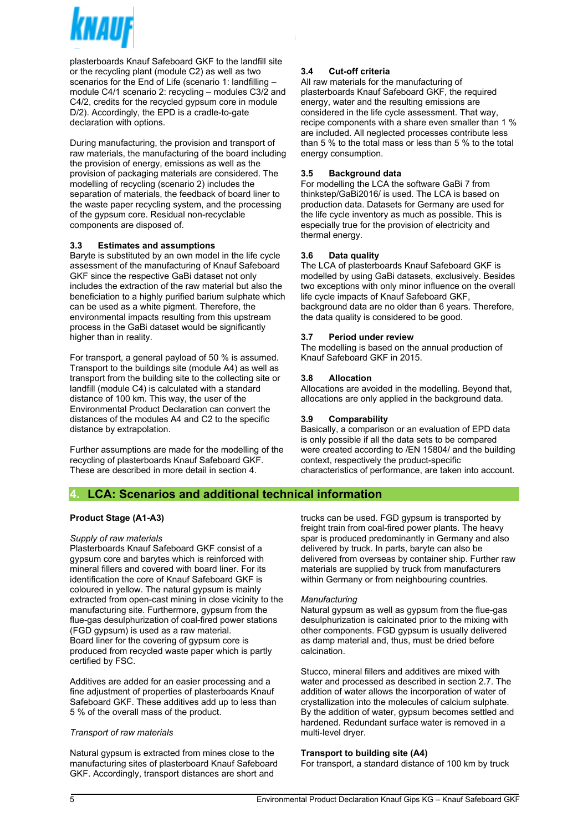

plasterboards Knauf Safeboard GKF to the landfill site or the recycling plant (module C2) as well as two scenarios for the End of Life (scenario 1: landfilling – module C4/1 scenario 2: recycling – modules C3/2 and C4/2, credits for the recycled gypsum core in module D/2). Accordingly, the EPD is a cradle-to-gate declaration with options.

During manufacturing, the provision and transport of raw materials, the manufacturing of the board including the provision of energy, emissions as well as the provision of packaging materials are considered. The modelling of recycling (scenario 2) includes the separation of materials, the feedback of board liner to the waste paper recycling system, and the processing of the gypsum core. Residual non-recyclable components are disposed of.

#### **3.3 Estimates and assumptions**

Baryte is substituted by an own model in the life cycle assessment of the manufacturing of Knauf Safeboard GKF since the respective GaBi dataset not only includes the extraction of the raw material but also the beneficiation to a highly purified barium sulphate which can be used as a white pigment. Therefore, the environmental impacts resulting from this upstream process in the GaBi dataset would be significantly higher than in reality.

For transport, a general payload of 50 % is assumed. Transport to the buildings site (module A4) as well as transport from the building site to the collecting site or landfill (module C4) is calculated with a standard distance of 100 km. This way, the user of the Environmental Product Declaration can convert the distances of the modules A4 and C2 to the specific distance by extrapolation.

Further assumptions are made for the modelling of the recycling of plasterboards Knauf Safeboard GKF. These are described in more detail in section 4.

### **3.4 Cut-off criteria**

All raw materials for the manufacturing of plasterboards Knauf Safeboard GKF, the required energy, water and the resulting emissions are considered in the life cycle assessment. That way, recipe components with a share even smaller than 1 % are included. All neglected processes contribute less than 5 % to the total mass or less than 5 % to the total energy consumption.

#### **3.5 Background data**

For modelling the LCA the software GaBi 7 from thinkstep/GaBi2016/ is used. The LCA is based on production data. Datasets for Germany are used for the life cycle inventory as much as possible. This is especially true for the provision of electricity and thermal energy.

#### **3.6 Data quality**

The LCA of plasterboards Knauf Safeboard GKF is modelled by using GaBi datasets, exclusively. Besides two exceptions with only minor influence on the overall life cycle impacts of Knauf Safeboard GKF, background data are no older than 6 years. Therefore, the data quality is considered to be good.

#### **3.7 Period under review**

The modelling is based on the annual production of Knauf Safeboard GKF in 2015.

#### **3.8 Allocation**

Allocations are avoided in the modelling. Beyond that, allocations are only applied in the background data.

#### **3.9 Comparability**

Basically, a comparison or an evaluation of EPD data is only possible if all the data sets to be compared were created according to /EN 15804/ and the building context, respectively the product-specific characteristics of performance, are taken into account.

## **4. LCA: Scenarios and additional technical information**

#### **Product Stage (A1-A3)**

#### *Supply of raw materials*

Plasterboards Knauf Safeboard GKF consist of a gypsum core and barytes which is reinforced with mineral fillers and covered with board liner. For its identification the core of Knauf Safeboard GKF is coloured in yellow. The natural gypsum is mainly extracted from open-cast mining in close vicinity to the manufacturing site. Furthermore, gypsum from the flue-gas desulphurization of coal-fired power stations (FGD gypsum) is used as a raw material. Board liner for the covering of gypsum core is produced from recycled waste paper which is partly certified by FSC.

Additives are added for an easier processing and a fine adjustment of properties of plasterboards Knauf Safeboard GKF. These additives add up to less than 5 % of the overall mass of the product.

#### *Transport of raw materials*

Natural gypsum is extracted from mines close to the manufacturing sites of plasterboard Knauf Safeboard GKF. Accordingly, transport distances are short and

trucks can be used. FGD gypsum is transported by freight train from coal-fired power plants. The heavy spar is produced predominantly in Germany and also delivered by truck. In parts, baryte can also be delivered from overseas by container ship. Further raw materials are supplied by truck from manufacturers within Germany or from neighbouring countries.

#### *Manufacturing*

Natural gypsum as well as gypsum from the flue-gas desulphurization is calcinated prior to the mixing with other components. FGD gypsum is usually delivered as damp material and, thus, must be dried before calcination.

Stucco, mineral fillers and additives are mixed with water and processed as described in section 2.7. The addition of water allows the incorporation of water of crystallization into the molecules of calcium sulphate. By the addition of water, gypsum becomes settled and hardened. Redundant surface water is removed in a multi-level dryer.

#### **Transport to building site (A4)**

For transport, a standard distance of 100 km by truck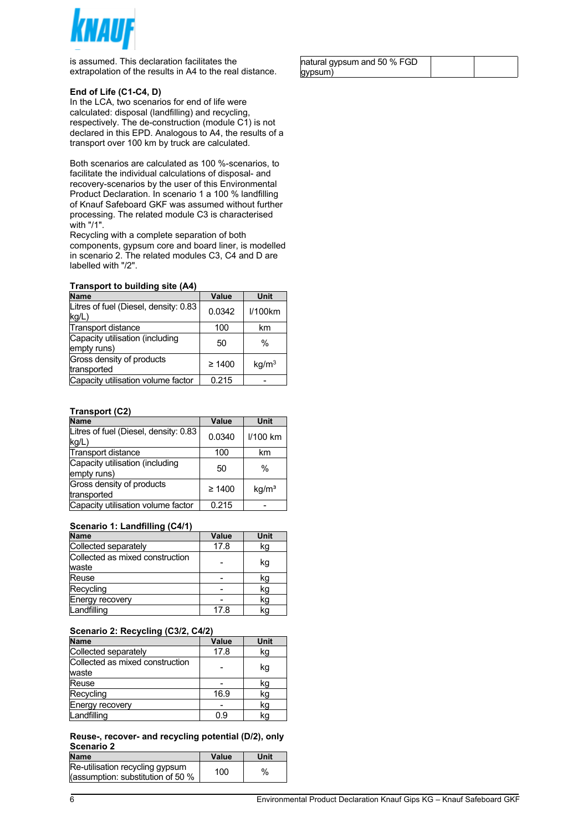

is assumed. This declaration facilitates the extrapolation of the results in A4 to the real distance.

#### **End of Life (C1-C4, D)**

In the LCA, two scenarios for end of life were calculated: disposal (landfilling) and recycling, respectively. The de-construction (module C1) is not declared in this EPD. Analogous to A4, the results of a transport over 100 km by truck are calculated.

Both scenarios are calculated as 100 %-scenarios, to facilitate the individual calculations of disposal- and recovery-scenarios by the user of this Environmental Product Declaration. In scenario 1 a 100 % landfilling of Knauf Safeboard GKF was assumed without further processing. The related module C3 is characterised with "/1".

Recycling with a complete separation of both components, gypsum core and board liner, is modelled in scenario 2. The related modules C3, C4 and D are labelled with "/2".

#### **Transport to building site (A4)**

| <b>Name</b>                                    | Value       | Unit              |
|------------------------------------------------|-------------|-------------------|
| Litres of fuel (Diesel, density: 0.83<br>kg/L) | 0.0342      | I/100km           |
| Transport distance                             | 100         | km                |
| Capacity utilisation (including<br>empty runs) | 50          | $\frac{0}{0}$     |
| Gross density of products<br>transported       | $\geq 1400$ | kq/m <sup>3</sup> |
| Capacity utilisation volume factor             | 0.215       |                   |

#### **Transport (C2)**

| <b>Name</b>                                    | Value       | Unit              |
|------------------------------------------------|-------------|-------------------|
| Litres of fuel (Diesel, density: 0.83<br>kg/L) | 0.0340      | I/100 km          |
| Transport distance                             | 100         | km                |
| Capacity utilisation (including<br>empty runs) | 50          | $\%$              |
| Gross density of products<br>transported       | $\geq 1400$ | kq/m <sup>3</sup> |
| Capacity utilisation volume factor             | 0.215       |                   |

#### **Scenario 1: Landfilling (C4/1)**

| <b>Name</b>                              | Value | <b>Unit</b> |
|------------------------------------------|-------|-------------|
| Collected separately                     | 17.8  | kg          |
| Collected as mixed construction<br>waste |       | kg          |
| Reuse                                    |       | kg          |
| Recycling                                |       | kg          |
| Energy recovery                          |       | kg          |
| Landfilling                              | 17.8  | kg          |

#### **Scenario 2: Recycling (C3/2, C4/2)**

| <b>Name</b>                              | Value | Unit |
|------------------------------------------|-------|------|
| Collected separately                     | 17.8  | kg   |
| Collected as mixed construction<br>waste |       | kg   |
| Reuse                                    |       | kg   |
| Recycling                                | 16.9  | kg   |
| Energy recovery                          |       | kg   |
| Landfilling                              | 0.9   | kg   |

#### **Reuse-, recover- and recycling potential (D/2), only Scenario 2**

| <b>Name</b>                                                           | Value | Unit |
|-----------------------------------------------------------------------|-------|------|
| Re-utilisation recycling gypsum<br>(assumption: substitution of 50 %) | 100   | $\%$ |

| natural gypsum and 50 % FGD |  |
|-----------------------------|--|
| gypsum)                     |  |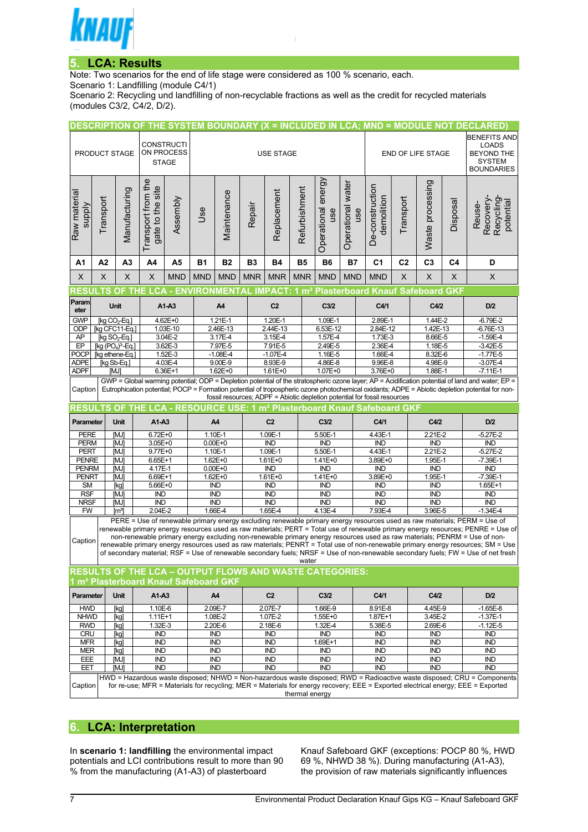

## **5. LCA: Results**

Note: Two scenarios for the end of life stage were considered as 100 % scenario, each.

Scenario 1: Landfilling (module C4/1)

Scenario 2: Recycling und landfilling of non-recyclable fractions as well as the credit for recycled materials (modules C3/2, C4/2, D/2).

|                            |                                                                                                                                                                                                                                                             |                           |                                                                |                     | DESCRIPTION OF THE SYSTEM BOUNDARY (X = INCLUDED IN LCA; MND = MODULE NOT DECLARED) |                            |                              |                                          |                         |                                 |                         |                                                                              |                     |                                   |                   |                                                                                                                                                                                                                                                              |            |
|----------------------------|-------------------------------------------------------------------------------------------------------------------------------------------------------------------------------------------------------------------------------------------------------------|---------------------------|----------------------------------------------------------------|---------------------|-------------------------------------------------------------------------------------|----------------------------|------------------------------|------------------------------------------|-------------------------|---------------------------------|-------------------------|------------------------------------------------------------------------------|---------------------|-----------------------------------|-------------------|--------------------------------------------------------------------------------------------------------------------------------------------------------------------------------------------------------------------------------------------------------------|------------|
|                            |                                                                                                                                                                                                                                                             |                           |                                                                |                     |                                                                                     |                            |                              |                                          |                         |                                 |                         |                                                                              | <b>BENEFITS AND</b> |                                   |                   |                                                                                                                                                                                                                                                              |            |
|                            | PRODUCT STAGE                                                                                                                                                                                                                                               |                           | <b>CONSTRUCTI</b><br>ON PROCESS<br><b>USE STAGE</b>            |                     |                                                                                     |                            |                              |                                          |                         | END OF LIFE STAGE               |                         |                                                                              |                     | <b>LOADS</b><br><b>BEYOND THE</b> |                   |                                                                                                                                                                                                                                                              |            |
|                            |                                                                                                                                                                                                                                                             |                           | <b>STAGE</b>                                                   |                     |                                                                                     |                            |                              |                                          |                         | <b>SYSTEM</b>                   |                         |                                                                              |                     |                                   |                   |                                                                                                                                                                                                                                                              |            |
|                            |                                                                                                                                                                                                                                                             |                           |                                                                |                     |                                                                                     |                            |                              |                                          |                         |                                 |                         |                                                                              |                     |                                   | <b>BOUNDARIES</b> |                                                                                                                                                                                                                                                              |            |
|                            |                                                                                                                                                                                                                                                             |                           |                                                                |                     |                                                                                     |                            |                              |                                          |                         |                                 |                         |                                                                              |                     |                                   |                   |                                                                                                                                                                                                                                                              |            |
|                            |                                                                                                                                                                                                                                                             |                           | gate to the site                                               |                     |                                                                                     |                            |                              |                                          | Refurbishment           | energy                          | Operational water       | De-construction                                                              |                     |                                   |                   |                                                                                                                                                                                                                                                              |            |
|                            |                                                                                                                                                                                                                                                             |                           |                                                                |                     |                                                                                     |                            |                              |                                          |                         |                                 |                         |                                                                              |                     |                                   |                   |                                                                                                                                                                                                                                                              |            |
|                            |                                                                                                                                                                                                                                                             |                           |                                                                |                     | <b>Jse</b>                                                                          |                            |                              |                                          |                         | use                             | use                     |                                                                              |                     |                                   |                   |                                                                                                                                                                                                                                                              |            |
| <b>Alddns</b>              | Transport                                                                                                                                                                                                                                                   |                           |                                                                | Assembly            |                                                                                     |                            | Repair                       |                                          |                         |                                 |                         | demolition                                                                   | Transport           |                                   | Disposal          | Recovery-<br>Recycling<br>potential<br>Reuse-                                                                                                                                                                                                                |            |
| Raw material               |                                                                                                                                                                                                                                                             | Manufacturing             |                                                                |                     |                                                                                     | Maintenance                |                              | Replacement                              |                         |                                 |                         |                                                                              |                     |                                   |                   |                                                                                                                                                                                                                                                              |            |
|                            |                                                                                                                                                                                                                                                             |                           | Transport from the                                             |                     |                                                                                     |                            |                              |                                          |                         | Operational                     |                         |                                                                              |                     | Waste processing                  |                   |                                                                                                                                                                                                                                                              |            |
|                            |                                                                                                                                                                                                                                                             |                           |                                                                |                     |                                                                                     |                            |                              |                                          |                         |                                 |                         |                                                                              |                     |                                   |                   |                                                                                                                                                                                                                                                              |            |
| A1<br>X                    | A <sub>2</sub><br>X                                                                                                                                                                                                                                         | A <sub>3</sub><br>X       | A4<br>X                                                        | A5<br><b>MND</b>    | <b>B1</b><br><b>MND</b>                                                             | <b>B2</b><br><b>MND</b>    | B <sub>3</sub><br><b>MNR</b> | <b>B4</b><br><b>MNR</b>                  | <b>B5</b><br><b>MNR</b> | B <sub>6</sub><br><b>MND</b>    | <b>B7</b><br><b>MND</b> | C <sub>1</sub><br><b>MND</b>                                                 | C <sub>2</sub><br>X | C <sub>3</sub><br>X               | C4<br>X           | D<br>X                                                                                                                                                                                                                                                       |            |
|                            |                                                                                                                                                                                                                                                             |                           |                                                                |                     |                                                                                     |                            |                              |                                          |                         |                                 |                         | RESULTS OF THE LCA - ENVIRONMENTAL IMPACT: 1 m² Plasterboard Knauf Safeboard |                     |                                   | <b>GKF</b>        |                                                                                                                                                                                                                                                              |            |
| <b>Param</b>               |                                                                                                                                                                                                                                                             |                           |                                                                |                     |                                                                                     |                            |                              |                                          |                         |                                 |                         |                                                                              |                     |                                   |                   |                                                                                                                                                                                                                                                              |            |
| eter                       |                                                                                                                                                                                                                                                             | <b>Unit</b>               |                                                                | $A1-A3$             |                                                                                     | A4                         |                              | C <sub>2</sub>                           |                         | C3/2                            |                         | C4/1                                                                         |                     | C4/2                              |                   | D/2                                                                                                                                                                                                                                                          |            |
| <b>GWP</b>                 | [kg $CO2$ -Eq.]                                                                                                                                                                                                                                             |                           |                                                                | 4.62E+0             |                                                                                     | 1.21E-1                    |                              | 1.20E-1                                  |                         | 1.09E-1                         |                         | 2.89E-1                                                                      |                     | 1.44E-2                           |                   | $-6.79E - 2$                                                                                                                                                                                                                                                 |            |
| <b>ODP</b><br>AP           | [kg SO <sub>2</sub> -Eq.]                                                                                                                                                                                                                                   | [kg CFC11-Eq.]            |                                                                | 1.03E-10<br>3.04E-2 |                                                                                     | 2.46E-13<br>3.17E-4        |                              | 2.44E-13<br>3.15E-4                      |                         | 6.53E-12<br>1.57E-4             |                         | 2.84E-12<br>1.73E-3                                                          |                     | 1.42E-13<br>8.66E-5               |                   | $-6.76E-13$<br>$-1.59E-4$                                                                                                                                                                                                                                    |            |
| E                          |                                                                                                                                                                                                                                                             | $[kg (PO4)3-Eq.]$         |                                                                | 3.62E-3             |                                                                                     | 7.97E-5                    |                              | 7.91E-5                                  |                         | 2.49E-5                         |                         | 2.36E-4                                                                      |                     | 1.18E-5                           |                   | $-3.42E - 5$                                                                                                                                                                                                                                                 |            |
| POCP                       |                                                                                                                                                                                                                                                             | [kg ethene-Eq.]           |                                                                | 1.52E-3             |                                                                                     | $-1.08E - 4$               |                              | 1.16E-5<br>$-1.07E - 4$                  |                         | $1.66E-4$                       |                         | 8.32E-6                                                                      |                     | $-1.77E-5$                        |                   |                                                                                                                                                                                                                                                              |            |
| <b>ADPE</b><br><b>ADPF</b> | [kg Sb-Eq.]                                                                                                                                                                                                                                                 |                           |                                                                | 4.03E-4<br>6.36E+1  |                                                                                     | $9.00E - 9$<br>$1.62E + 0$ |                              | 8.93E-9<br>4.86E-8<br>1.61E+0<br>1.07E+0 |                         | 9.96E-8<br>3.76E+0              |                         | 4.98E-9<br>1.88E-1                                                           |                     | $-3.07E - 4$<br>$-7.11E-1$        |                   |                                                                                                                                                                                                                                                              |            |
|                            |                                                                                                                                                                                                                                                             | [MJ]                      |                                                                |                     |                                                                                     |                            |                              |                                          |                         |                                 |                         |                                                                              |                     |                                   |                   | GWP = Global warming potential; ODP = Depletion potential of the stratospheric ozone layer; AP = Acidification potential of land and water; EP =                                                                                                             |            |
| Caption                    |                                                                                                                                                                                                                                                             |                           |                                                                |                     |                                                                                     |                            |                              |                                          |                         |                                 |                         |                                                                              |                     |                                   |                   | Eutrophication potential; POCP = Formation potential of tropospheric ozone photochemical oxidants; ADPE = Abiotic depletion potential for non-                                                                                                               |            |
|                            |                                                                                                                                                                                                                                                             |                           |                                                                |                     |                                                                                     |                            |                              |                                          |                         |                                 |                         | fossil resources; ADPF = Abiotic depletion potential for fossil resources    |                     |                                   |                   |                                                                                                                                                                                                                                                              |            |
| RESULTS OF                 |                                                                                                                                                                                                                                                             |                           |                                                                |                     |                                                                                     |                            |                              |                                          |                         |                                 |                         | THE LCA - RESOURCE USE: 1 m <sup>2</sup> Plasterboard Knauf Safeboard GKF    |                     |                                   |                   |                                                                                                                                                                                                                                                              |            |
| Parameter                  |                                                                                                                                                                                                                                                             | <b>Unit</b>               | A1-A3                                                          |                     |                                                                                     | A4                         |                              | C <sub>2</sub>                           |                         | C <sub>3/2</sub>                |                         | C4/1                                                                         |                     | C4/2                              |                   | D/2                                                                                                                                                                                                                                                          |            |
| <b>PERE</b>                |                                                                                                                                                                                                                                                             | [MJ]                      | $6.72E + 0$                                                    |                     |                                                                                     | 1.10E-1                    | 1.09E-1                      |                                          |                         | 5.50E-1                         |                         | 4.43E-1                                                                      |                     | 2.21E-2                           |                   | $-5.27E - 2$                                                                                                                                                                                                                                                 |            |
| <b>PERM</b><br><b>PERT</b> |                                                                                                                                                                                                                                                             | [MJ]<br>[MJ]              | 3.05E+0<br>9.77E+0                                             |                     |                                                                                     | $0.00E + 0$<br>1.10E-1     |                              | <b>IND</b><br>1.09E-1                    |                         | <b>IND</b><br>5.50E-1           |                         | <b>IND</b><br>4.43E-1                                                        |                     | <b>IND</b><br>$2.21E - 2$         |                   | <b>IND</b><br>$-5.27E - 2$                                                                                                                                                                                                                                   |            |
| <b>PENRE</b>               |                                                                                                                                                                                                                                                             | [MJ]                      | $6.65E+1$                                                      |                     |                                                                                     | $1.62E + 0$                |                              | $1.61E + 0$                              |                         | $1.41E + 0$                     |                         | 3.89E+0                                                                      |                     | 1.95E-1                           |                   | $-7.39E-1$                                                                                                                                                                                                                                                   |            |
| <b>PENRM</b>               |                                                                                                                                                                                                                                                             | [MJ]                      | 4.17E-1                                                        |                     |                                                                                     | $0.00E + 0$                |                              | <b>IND</b>                               |                         | <b>IND</b>                      |                         | <b>IND</b>                                                                   |                     | <b>IND</b>                        |                   | <b>IND</b>                                                                                                                                                                                                                                                   |            |
| <b>PENRT</b>               |                                                                                                                                                                                                                                                             | [MJ]                      | 6.69E+1                                                        |                     |                                                                                     | $1.62E + 0$                |                              | 1.61E+0                                  |                         | 1.41E+0                         |                         | $3.89E + 0$                                                                  |                     | 1.95E-1                           |                   | $-7.39E - 1$                                                                                                                                                                                                                                                 |            |
| <b>SM</b><br><b>RSF</b>    |                                                                                                                                                                                                                                                             | [kg]<br>[MJ]              | $5.66E + 0$<br><b>IND</b>                                      |                     |                                                                                     | <b>IND</b><br><b>IND</b>   |                              | <b>IND</b><br><b>IND</b>                 |                         | <b>IND</b><br><b>IND</b>        |                         | <b>IND</b><br><b>IND</b>                                                     |                     | <b>IND</b><br><b>IND</b>          |                   | $1.65E+1$<br><b>IND</b>                                                                                                                                                                                                                                      |            |
| <b>NRSF</b>                |                                                                                                                                                                                                                                                             | [MJ]                      | <b>IND</b>                                                     |                     |                                                                                     | <b>IND</b>                 |                              | <b>IND</b>                               |                         | <b>IND</b>                      |                         | <b>IND</b>                                                                   |                     | <b>IND</b>                        |                   |                                                                                                                                                                                                                                                              | <b>IND</b> |
| <b>FW</b>                  |                                                                                                                                                                                                                                                             | $\left[\text{m}^3\right]$ | 2.04E-2                                                        |                     |                                                                                     | 1.66E-4                    |                              | $1.65E-4$                                |                         | $4.13E-4$<br>7.93E-4<br>3.96E-5 |                         |                                                                              |                     |                                   | $-1.34E-4$        |                                                                                                                                                                                                                                                              |            |
|                            |                                                                                                                                                                                                                                                             |                           |                                                                |                     |                                                                                     |                            |                              |                                          |                         |                                 |                         |                                                                              |                     |                                   |                   | PERE = Use of renewable primary energy excluding renewable primary energy resources used as raw materials; PERM = Use of                                                                                                                                     |            |
|                            |                                                                                                                                                                                                                                                             |                           |                                                                |                     |                                                                                     |                            |                              |                                          |                         |                                 |                         |                                                                              |                     |                                   |                   | renewable primary energy resources used as raw materials; PERT = Total use of renewable primary energy resources; PENRE = Use of<br>non-renewable primary energy excluding non-renewable primary energy resources used as raw materials; PENRM = Use of non- |            |
| Caption                    |                                                                                                                                                                                                                                                             |                           |                                                                |                     |                                                                                     |                            |                              |                                          |                         |                                 |                         |                                                                              |                     |                                   |                   | renewable primary energy resources used as raw materials; PENRT = Total use of non-renewable primary energy resources; SM = Use                                                                                                                              |            |
|                            |                                                                                                                                                                                                                                                             |                           |                                                                |                     |                                                                                     |                            |                              |                                          | water                   |                                 |                         |                                                                              |                     |                                   |                   | of secondary material; RSF = Use of renewable secondary fuels; NRSF = Use of non-renewable secondary fuels; FW = Use of net fresh                                                                                                                            |            |
|                            |                                                                                                                                                                                                                                                             |                           | <b>RESULTS OF THE LCA - OUTPUT FLOWS AND WASTE CATEGORIES:</b> |                     |                                                                                     |                            |                              |                                          |                         |                                 |                         |                                                                              |                     |                                   |                   |                                                                                                                                                                                                                                                              |            |
|                            |                                                                                                                                                                                                                                                             |                           | 1 m <sup>2</sup> Plasterboard Knauf Safeboard GKF              |                     |                                                                                     |                            |                              |                                          |                         |                                 |                         |                                                                              |                     |                                   |                   |                                                                                                                                                                                                                                                              |            |
| Parameter                  |                                                                                                                                                                                                                                                             | <b>Unit</b>               | A1-A3                                                          |                     |                                                                                     | A4                         |                              | C <sub>2</sub>                           |                         | C3/2                            |                         | C4/1                                                                         |                     | C4/2                              |                   | D/2                                                                                                                                                                                                                                                          |            |
| <b>HWD</b>                 |                                                                                                                                                                                                                                                             | [kg]                      | 1.10E-6                                                        |                     |                                                                                     | 2.09E-7                    |                              | 2.07E-7                                  |                         | 1.66E-9                         |                         | 8.91E-8                                                                      |                     | 4.45E-9                           |                   | $-1.65E-8$                                                                                                                                                                                                                                                   |            |
| <b>NHWD</b>                |                                                                                                                                                                                                                                                             | [kg]                      | 1.11E+1                                                        |                     |                                                                                     | 1.08E-2                    |                              | 1.07E-2                                  |                         | 1.55E+0                         |                         | $1.87E + 1$                                                                  |                     | 3.45E-2                           |                   | $-1.37E-1$                                                                                                                                                                                                                                                   |            |
| <b>RWD</b>                 |                                                                                                                                                                                                                                                             | [kg]                      | 1.32E-3                                                        |                     |                                                                                     | 2.20E-6                    |                              | 2.18E-6                                  |                         | 1.32E-4                         |                         | 5.38E-5                                                                      |                     | 2.69E-6                           |                   | $-1.12E - 5$                                                                                                                                                                                                                                                 |            |
| <b>CRU</b>                 |                                                                                                                                                                                                                                                             | [kg]                      | IND                                                            |                     |                                                                                     | <b>IND</b>                 |                              | IND                                      |                         | IND                             |                         | IND                                                                          |                     | <b>IND</b>                        |                   | <b>IND</b>                                                                                                                                                                                                                                                   |            |
| <b>MFR</b><br><b>MER</b>   |                                                                                                                                                                                                                                                             | [kg]<br>[kg]              | IND<br>IND                                                     |                     |                                                                                     | <b>IND</b><br><b>IND</b>   |                              | <b>IND</b><br><b>IND</b>                 |                         | 1.69E+1<br><b>IND</b>           |                         | <b>IND</b><br><b>IND</b>                                                     |                     | <b>IND</b><br><b>IND</b>          |                   | <b>IND</b><br><b>IND</b>                                                                                                                                                                                                                                     |            |
| EEE                        |                                                                                                                                                                                                                                                             | [MJ]                      | IND                                                            |                     |                                                                                     | <b>IND</b>                 |                              | <b>IND</b>                               |                         | IND                             |                         | <b>IND</b>                                                                   |                     | <b>IND</b>                        |                   | <b>IND</b>                                                                                                                                                                                                                                                   |            |
| EET                        |                                                                                                                                                                                                                                                             | [MJ]                      | <b>IND</b>                                                     |                     |                                                                                     | <b>IND</b>                 |                              | <b>IND</b>                               |                         | <b>IND</b>                      |                         | <b>IND</b>                                                                   |                     | <b>IND</b>                        |                   | <b>IND</b>                                                                                                                                                                                                                                                   |            |
|                            | HWD = Hazardous waste disposed; NHWD = Non-hazardous waste disposed; RWD = Radioactive waste disposed; CRU = Components<br>for re-use; MFR = Materials for recycling; MER = Materials for energy recovery; EEE = Exported electrical energy; EEE = Exported |                           |                                                                |                     |                                                                                     |                            |                              |                                          |                         |                                 |                         |                                                                              |                     |                                   |                   |                                                                                                                                                                                                                                                              |            |
| Caption                    |                                                                                                                                                                                                                                                             |                           |                                                                |                     |                                                                                     |                            |                              |                                          | thermal energy          |                                 |                         |                                                                              |                     |                                   |                   |                                                                                                                                                                                                                                                              |            |
|                            |                                                                                                                                                                                                                                                             |                           |                                                                |                     |                                                                                     |                            |                              |                                          |                         |                                 |                         |                                                                              |                     |                                   |                   |                                                                                                                                                                                                                                                              |            |

## **6. LCA: Interpretation**

In **scenario 1: landfilling** the environmental impact potentials and LCI contributions result to more than 90 % from the manufacturing (A1-A3) of plasterboard

Knauf Safeboard GKF (exceptions: POCP 80 %, HWD 69 %, NHWD 38 %). During manufacturing (A1-A3), the provision of raw materials significantly influences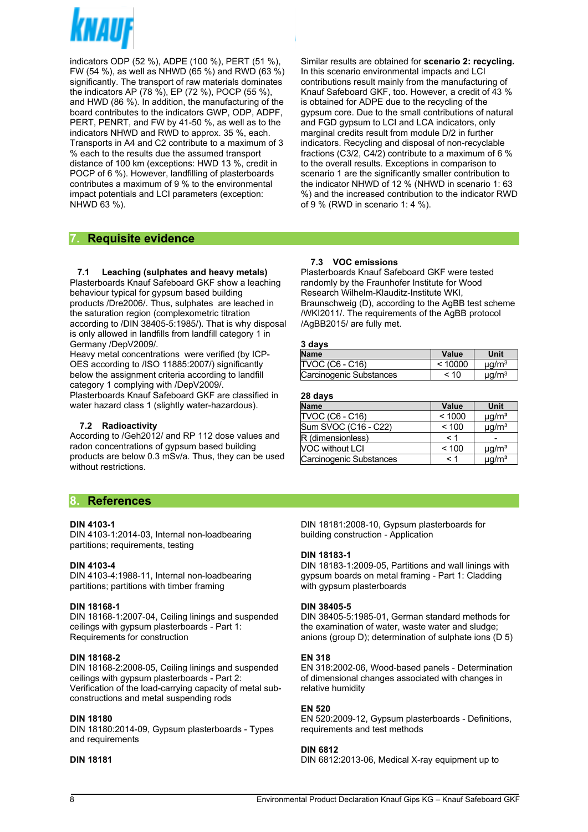

indicators ODP (52 %), ADPE (100 %), PERT (51 %), FW (54 %), as well as NHWD (65 %) and RWD (63 %) significantly. The transport of raw materials dominates the indicators AP (78 %), EP (72 %), POCP (55 %), and HWD (86 %). In addition, the manufacturing of the board contributes to the indicators GWP, ODP, ADPF, PERT, PENRT, and FW by 41-50 %, as well as to the indicators NHWD and RWD to approx. 35 %, each. Transports in A4 and C2 contribute to a maximum of 3 % each to the results due the assumed transport distance of 100 km (exceptions: HWD 13 %, credit in POCP of 6 %). However, landfilling of plasterboards contributes a maximum of 9 % to the environmental impact potentials and LCI parameters (exception: NHWD 63 %).

Similar results are obtained for **scenario 2: recycling.** In this scenario environmental impacts and LCI contributions result mainly from the manufacturing of Knauf Safeboard GKF, too. However, a credit of 43 % is obtained for ADPE due to the recycling of the gypsum core. Due to the small contributions of natural and FGD gypsum to LCI and LCA indicators, only marginal credits result from module D/2 in further indicators. Recycling and disposal of non-recyclable fractions (C3/2, C4/2) contribute to a maximum of 6 % to the overall results. Exceptions in comparison to scenario 1 are the significantly smaller contribution to the indicator NHWD of 12 % (NHWD in scenario 1: 63 %) and the increased contribution to the indicator RWD of 9 % (RWD in scenario 1: 4 %).

## **7. Requisite evidence**

#### **7.1 Leaching (sulphates and heavy metals)**

Plasterboards Knauf Safeboard GKF show a leaching behaviour typical for gypsum based building products /Dre2006/. Thus, sulphates are leached in the saturation region (complexometric titration according to /DIN 38405-5:1985/). That is why disposal is only allowed in landfills from landfill category 1 in Germany /DepV2009/.

Heavy metal concentrations were verified (by ICP-OES according to /ISO 11885:2007/) significantly below the assignment criteria according to landfill category 1 complying with /DepV2009/.

Plasterboards Knauf Safeboard GKF are classified in water hazard class 1 (slightly water-hazardous).

#### **7.2 Radioactivity**

According to /Geh2012/ and RP 112 dose values and radon concentrations of gypsum based building products are below 0.3 mSv/a. Thus, they can be used without restrictions.

## **8. References**

#### **DIN 4103-1**

DIN 4103-1:2014-03, Internal non-loadbearing partitions; requirements, testing

#### **DIN 4103-4**

DIN 4103-4:1988-11, Internal non-loadbearing partitions; partitions with timber framing

#### **DIN 18168-1**

DIN 18168-1:2007-04, Ceiling linings and suspended ceilings with gypsum plasterboards - Part 1: Requirements for construction

#### **DIN 18168-2**

DIN 18168-2:2008-05, Ceiling linings and suspended ceilings with gypsum plasterboards - Part 2: Verification of the load-carrying capacity of metal subconstructions and metal suspending rods

#### **DIN 18180**

DIN 18180:2014-09, Gypsum plasterboards - Types and requirements

#### **DIN 18181**

#### **7.3 VOC emissions**

Plasterboards Knauf Safeboard GKF were tested randomly by the Fraunhofer Institute for Wood Research Wilhelm-Klauditz-Institute WKI, Braunschweig (D), according to the AgBB test scheme /WKI2011/. The requirements of the AgBB protocol /AgBB2015/ are fully met.

#### **3 days**

| <b>Name</b>             | Value   | Unit                   |
|-------------------------|---------|------------------------|
| TVOC (C6 - C16)         | < 10000 | $\mu q/m^3$            |
| Carcinogenic Substances | $~<$ 10 | $\mu$ g/m <sup>3</sup> |

#### **28 days**

| <b>Name</b>             | <b>Value</b> | Unit                   |
|-------------------------|--------------|------------------------|
| TVOC (C6 - C16)         | < 1000       | $\mu$ g/m <sup>3</sup> |
| Sum SVOC (C16 - C22)    | < 100        | $\mu$ g/m <sup>3</sup> |
| R (dimensionless)       | < 1          |                        |
| <b>NOC without LCI</b>  | < 100        | $\mu$ g/m <sup>3</sup> |
| Carcinogenic Substances | < 1          | $\mu$ g/m <sup>3</sup> |

DIN 18181:2008-10, Gypsum plasterboards for building construction - Application

#### **DIN 18183-1**

DIN 18183-1:2009-05, Partitions and wall linings with gypsum boards on metal framing - Part 1: Cladding with gypsum plasterboards

#### **DIN 38405-5**

DIN 38405-5:1985-01, German standard methods for the examination of water, waste water and sludge; anions (group D); determination of sulphate ions (D 5)

#### **EN 318**

EN 318:2002-06, Wood-based panels - Determination of dimensional changes associated with changes in relative humidity

#### **EN 520**

EN 520:2009-12, Gypsum plasterboards - Definitions, requirements and test methods

#### **DIN 6812**

DIN 6812:2013-06, Medical X-ray equipment up to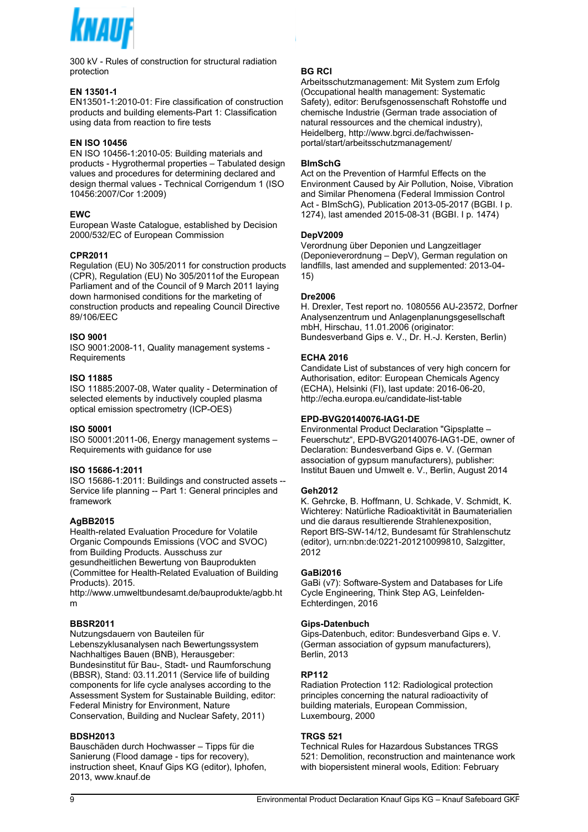

300 kV - Rules of construction for structural radiation protection

#### **EN 13501-1**

EN13501-1:2010-01: Fire classification of construction products and building elements-Part 1: Classification using data from reaction to fire tests

#### **EN ISO 10456**

EN ISO 10456-1:2010-05: Building materials and products - Hygrothermal properties – Tabulated design values and procedures for determining declared and design thermal values - Technical Corrigendum 1 (ISO 10456:2007/Cor 1:2009)

#### **EWC**

European Waste Catalogue, established by Decision 2000/532/EC of European Commission

#### **CPR2011**

Regulation (EU) No 305/2011 for construction products (CPR), Regulation (EU) No 305/2011of the European Parliament and of the Council of 9 March 2011 laying down harmonised conditions for the marketing of construction products and repealing Council Directive 89/106/EEC

#### **ISO 9001**

ISO 9001:2008-11, Quality management systems - **Requirements** 

#### **ISO 11885**

ISO 11885:2007-08, Water quality - Determination of selected elements by inductively coupled plasma optical emission spectrometry (ICP-OES)

#### **ISO 50001**

ISO 50001:2011-06, Energy management systems – Requirements with guidance for use

#### **ISO 15686-1:2011**

ISO 15686-1:2011: Buildings and constructed assets -- Service life planning -- Part 1: General principles and framework

#### **AgBB2015**

Health-related Evaluation Procedure for Volatile Organic Compounds Emissions (VOC and SVOC) from Building Products. Ausschuss zur gesundheitlichen Bewertung von Bauprodukten (Committee for Health-Related Evaluation of Building Products). 2015.

http://www.umweltbundesamt.de/bauprodukte/agbb.ht m

#### **BBSR2011**

Nutzungsdauern von Bauteilen für Lebenszyklusanalysen nach Bewertungssystem Nachhaltiges Bauen (BNB), Herausgeber: Bundesinstitut für Bau-, Stadt- und Raumforschung (BBSR), Stand: 03.11.2011 (Service life of building components for life cycle analyses according to the Assessment System for Sustainable Building, editor: Federal Ministry for Environment, Nature Conservation, Building and Nuclear Safety, 2011)

#### **BDSH2013**

Bauschäden durch Hochwasser – Tipps für die Sanierung (Flood damage - tips for recovery), instruction sheet, Knauf Gips KG (editor), Iphofen, 2013, www.knauf.de

#### **BG RCI**

Arbeitsschutzmanagement: Mit System zum Erfolg (Occupational health management: Systematic Safety), editor: Berufsgenossenschaft Rohstoffe und chemische Industrie (German trade association of natural ressources and the chemical industry), Heidelberg, http://www.bgrci.de/fachwissenportal/start/arbeitsschutzmanagement/

#### **BImSchG**

Act on the Prevention of Harmful Effects on the Environment Caused by Air Pollution, Noise, Vibration and Similar Phenomena (Federal Immission Control Act - BImSchG), Publication 2013-05-2017 (BGBI. I p. 1274), last amended 2015-08-31 (BGBI. I p. 1474)

#### **DepV2009**

Verordnung über Deponien und Langzeitlager (Deponieverordnung – DepV), German regulation on landfills, last amended and supplemented: 2013-04- 15)

#### **Dre2006**

H. Drexler, Test report no. 1080556 AU-23572, Dorfner Analysenzentrum und Anlagenplanungsgesellschaft mbH, Hirschau, 11.01.2006 (originator: Bundesverband Gips e. V., Dr. H.-J. Kersten, Berlin)

#### **ECHA 2016**

Candidate List of substances of very high concern for Authorisation, editor: European Chemicals Agency (ECHA), Helsinki (FI), last update: 2016-06-20, http://echa.europa.eu/candidate-list-table

#### **EPD-BVG20140076-IAG1-DE**

Environmental Product Declaration "Gipsplatte – Feuerschutz", EPD-BVG20140076-IAG1-DE, owner of Declaration: Bundesverband Gips e. V. (German association of gypsum manufacturers), publisher: Institut Bauen und Umwelt e. V., Berlin, August 2014

#### **Geh2012**

K. Gehrcke, B. Hoffmann, U. Schkade, V. Schmidt, K. Wichterey: Natürliche Radioaktivität in Baumaterialien und die daraus resultierende Strahlenexposition, Report BfS-SW-14/12, Bundesamt für Strahlenschutz (editor), urn:nbn:de:0221-201210099810, Salzgitter, 2012

#### **GaBi2016**

GaBi (v7): Software-System and Databases for Life Cycle Engineering, Think Step AG, Leinfelden-Echterdingen, 2016

#### **Gips-Datenbuch**

Gips-Datenbuch, editor: Bundesverband Gips e. V. (German association of gypsum manufacturers), Berlin, 2013

#### **RP112**

Radiation Protection 112: Radiological protection principles concerning the natural radioactivity of building materials, European Commission, Luxembourg, 2000

#### **TRGS 521**

Technical Rules for Hazardous Substances TRGS 521: Demolition, reconstruction and maintenance work with biopersistent mineral wools, Edition: February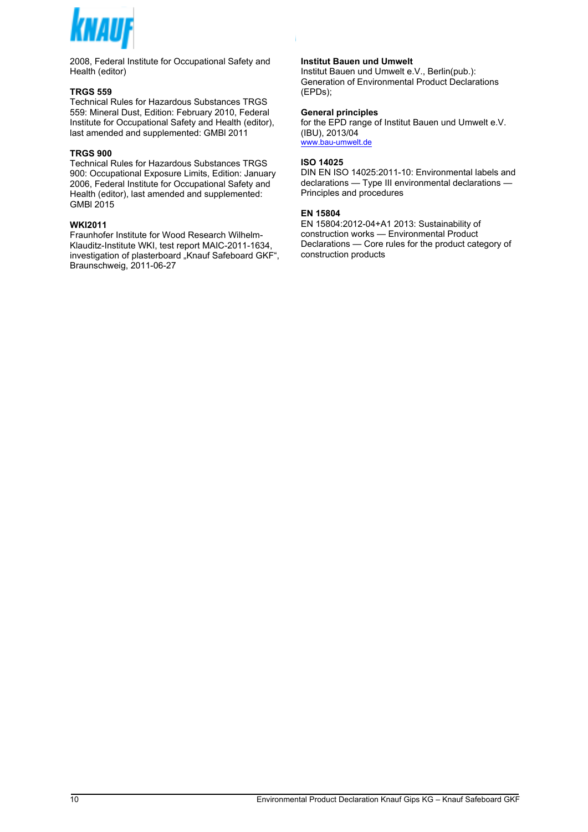|               | $\frac{1}{2}$ 5                                                                                |             | Ţ.                             | \$S                                                                                                               |            | $\overline{7}$                                               | 6                          | &      |                                      |                                                              |
|---------------|------------------------------------------------------------------------------------------------|-------------|--------------------------------|-------------------------------------------------------------------------------------------------------------------|------------|--------------------------------------------------------------|----------------------------|--------|--------------------------------------|--------------------------------------------------------------|
|               | $"$ )                                                                                          | $\star$     |                                |                                                                                                                   |            |                                                              | $\&$                       |        | $'($ ; &                             | $+$ ' * :                                                    |
|               |                                                                                                |             |                                |                                                                                                                   |            | $\overline{\mathbf{4}}$<br>$* =$                             | Ţ                          | 6      |                                      | $\mathfrak s$<br># $\hat{\mathcal{S}}$                       |
|               | ) 558<br>$8 \,$ \$" $$$                                                                        | $\mathbf 0$ | J                              | $+$                                                                                                               | $\sqrt{3}$ | #<br>804                                                     |                            |        |                                      |                                                              |
|               | 1: A                                                                                           | $\#$        | $\ddot{\phantom{a}}$           | $5 + : 7$                                                                                                         | $\ddot{5}$ |                                                              |                            |        |                                      |                                                              |
|               | $\mathbf{I}$                                                                                   | \$5         |                                | $\frac{1}{2}$ 7                                                                                                   | $"$ )      |                                                              | $\frac{1}{2}$<br>$\%$      |        | &                                    | $^{\prime}$ ( $^{\prime}$                                    |
|               |                                                                                                |             |                                | : 4A8                                                                                                             |            | $\begin{matrix} \ast \\ \ast \\ \ast \\ \ast \end{matrix}$   | 39                         |        |                                      |                                                              |
|               |                                                                                                |             |                                |                                                                                                                   |            |                                                              |                            |        |                                      |                                                              |
|               | ) 899                                                                                          |             |                                |                                                                                                                   |            |                                                              |                            |        |                                      |                                                              |
|               | $\begin{array}{cc} 8 & \text{$\hat{\$} \text{''} \\ 1 & \text{:} \end{array}$<br>$\mathfrak s$ | $\mathbf 0$ | J<br>$^\text{\textregistered}$ | $+$<br>$\ddot{\phantom{1}}$                                                                                       |            | $$ 804 \t 49-5$<br>: > #7<br>! 7 \$                          |                            |        |                                      | $\ddot{}$                                                    |
|               | $\begin{array}{c} 2 \times 5 \\ 5 \times 5 \end{array}$                                        |             | $\frac{?}{!}$                  | \$S                                                                                                               |            |                                                              |                            | $[ 87$ | $\begin{matrix} 6 \\ 6 \end{matrix}$ | [\$                                                          |
|               | $\left( \begin{array}{cc} 0 & \cdots \end{array} \right)$                                      | $^*$ ;      |                                |                                                                                                                   |            | \$                                                           |                            |        |                                      |                                                              |
|               | 4 A &                                                                                          |             |                                |                                                                                                                   |            |                                                              |                            |        |                                      |                                                              |
|               |                                                                                                |             |                                |                                                                                                                   |            | '5794                                                        |                            |        |                                      |                                                              |
| $\frac{1}{5}$ | $-9"$<br>- 1                                                                                   |             |                                | D                                                                                                                 |            |                                                              | $\dot{\mathbb{S}}$<br>$\,$ | S      | $3:6$<br>!                           | $+$                                                          |
|               | J,                                                                                             |             |                                | $\pmb{0}$<br>$\mathsf{D} \mathsf{-} \hspace{0.1cm} ; \hspace{0.1cm} \mathsf{A} \hspace{0.1cm} / \hspace{0.1cm} ,$ |            |                                                              | $\frac{1}{2}$              |        | $\mathbf{u}$                         | $\begin{array}{c} 1 \\ 2 \\ 3 \\ 4 \end{array}$<br>$$ $ \$ % |
|               | $\frac{1}{2}$                                                                                  |             | $+$ $  \,$                     | $\mathsf{Z}\xspace$ -<br>$\mathbf{I}$                                                                             |            | $$^{\circ}$ D $$^{\circ}$ S ,<br>, .3 ; # \$<br>4 - 5 M ; \$ | \$                         | \$     |                                      |                                                              |
|               | $\begin{matrix} 1 \ 6 \ 8 \end{matrix}$<br>$\, \$ "                                            | $\%$ ;      | $, \ldots, 2$                  |                                                                                                                   |            |                                                              |                            |        |                                      |                                                              |